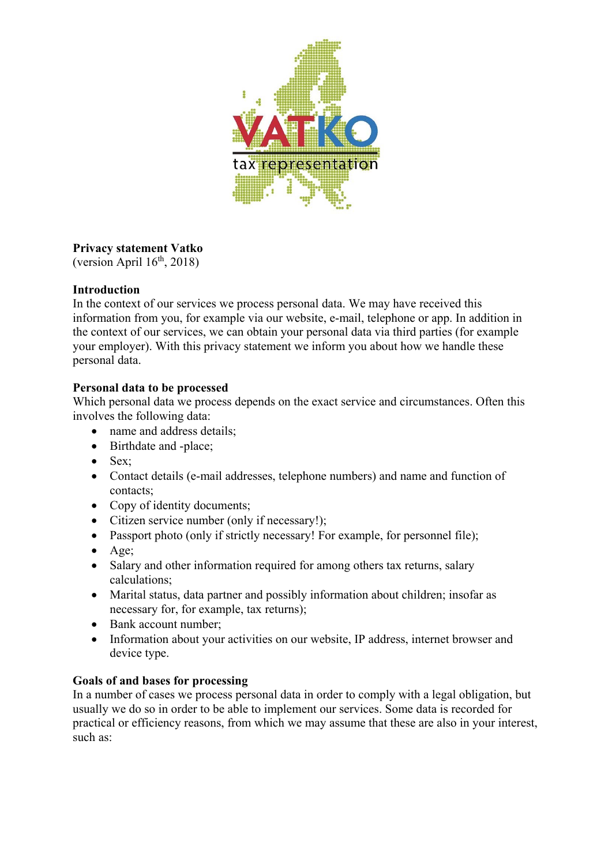

# **Privacy statement Vatko**

(version April  $16<sup>th</sup>$ , 2018)

# **Introduction**

In the context of our services we process personal data. We may have received this information from you, for example via our website, e-mail, telephone or app. In addition in the context of our services, we can obtain your personal data via third parties (for example your employer). With this privacy statement we inform you about how we handle these personal data.

# **Personal data to be processed**

Which personal data we process depends on the exact service and circumstances. Often this involves the following data:

- name and address details;
- Birthdate and -place:
- $-$  Sex;
- Contact details (e-mail addresses, telephone numbers) and name and function of contacts;
- Copy of identity documents;
- Citizen service number (only if necessary!);
- Passport photo (only if strictly necessary! For example, for personnel file);
- $\bullet$  Age;
- Salary and other information required for among others tax returns, salary calculations;
- Marital status, data partner and possibly information about children; insofar as necessary for, for example, tax returns);
- Bank account number:
- Information about your activities on our website, IP address, internet browser and device type.

## **Goals of and bases for processing**

In a number of cases we process personal data in order to comply with a legal obligation, but usually we do so in order to be able to implement our services. Some data is recorded for practical or efficiency reasons, from which we may assume that these are also in your interest, such as: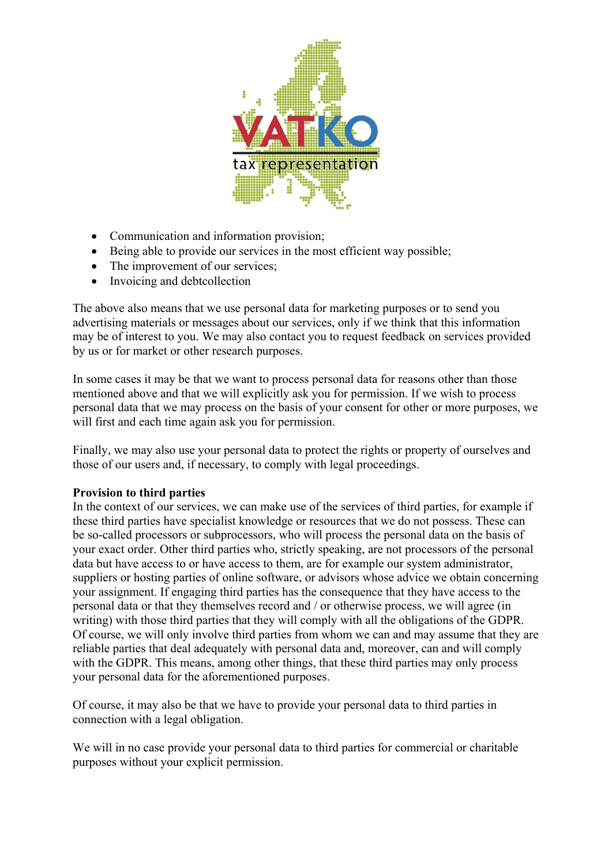

- Communication and information provision;
- Being able to provide our services in the most efficient way possible;
- The improvement of our services;
- Invoicing and debtcollection

The above also means that we use personal data for marketing purposes or to send you advertising materials or messages about our services, only if we think that this information may be of interest to you. We may also contact you to request feedback on services provided by us or for market or other research purposes.

In some cases it may be that we want to process personal data for reasons other than those mentioned above and that we will explicitly ask you for permission. If we wish to process personal data that we may process on the basis of your consent for other or more purposes, we will first and each time again ask you for permission.

Finally, we may also use your personal data to protect the rights or property of ourselves and those of our users and, if necessary, to comply with legal proceedings.

## **Provision to third parties**

In the context of our services, we can make use of the services of third parties, for example if these third parties have specialist knowledge or resources that we do not possess. These can be so-called processors or subprocessors, who will process the personal data on the basis of your exact order. Other third parties who, strictly speaking, are not processors of the personal data but have access to or have access to them, are for example our system administrator, suppliers or hosting parties of online software, or advisors whose advice we obtain concerning your assignment. If engaging third parties has the consequence that they have access to the personal data or that they themselves record and / or otherwise process, we will agree (in writing) with those third parties that they will comply with all the obligations of the GDPR. Of course, we will only involve third parties from whom we can and may assume that they are reliable parties that deal adequately with personal data and, moreover, can and will comply with the GDPR. This means, among other things, that these third parties may only process your personal data for the aforementioned purposes.

Of course, it may also be that we have to provide your personal data to third parties in connection with a legal obligation.

We will in no case provide your personal data to third parties for commercial or charitable purposes without your explicit permission.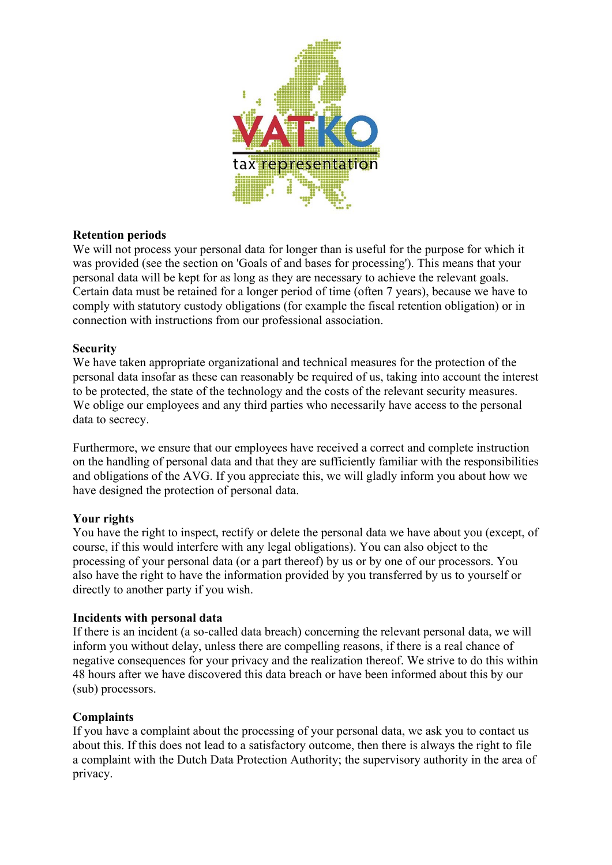

## **Retention periods**

We will not process your personal data for longer than is useful for the purpose for which it was provided (see the section on 'Goals of and bases for processing'). This means that your personal data will be kept for as long as they are necessary to achieve the relevant goals. Certain data must be retained for a longer period of time (often 7 years), because we have to comply with statutory custody obligations (for example the fiscal retention obligation) or in connection with instructions from our professional association.

#### **Security**

We have taken appropriate organizational and technical measures for the protection of the personal data insofar as these can reasonably be required of us, taking into account the interest to be protected, the state of the technology and the costs of the relevant security measures. We oblige our employees and any third parties who necessarily have access to the personal data to secrecy.

Furthermore, we ensure that our employees have received a correct and complete instruction on the handling of personal data and that they are sufficiently familiar with the responsibilities and obligations of the AVG. If you appreciate this, we will gladly inform you about how we have designed the protection of personal data.

## **Your rights**

You have the right to inspect, rectify or delete the personal data we have about you (except, of course, if this would interfere with any legal obligations). You can also object to the processing of your personal data (or a part thereof) by us or by one of our processors. You also have the right to have the information provided by you transferred by us to yourself or directly to another party if you wish.

#### **Incidents with personal data**

If there is an incident (a so-called data breach) concerning the relevant personal data, we will inform you without delay, unless there are compelling reasons, if there is a real chance of negative consequences for your privacy and the realization thereof. We strive to do this within 48 hours after we have discovered this data breach or have been informed about this by our (sub) processors.

## **Complaints**

If you have a complaint about the processing of your personal data, we ask you to contact us about this. If this does not lead to a satisfactory outcome, then there is always the right to file a complaint with the Dutch Data Protection Authority; the supervisory authority in the area of privacy.